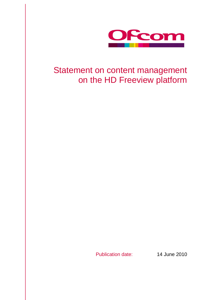

# Statement on content management on the HD Freeview platform

Publication date: 14 June 2010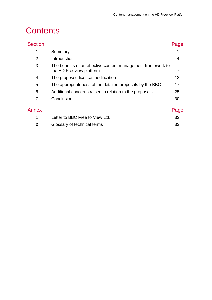# **Contents**

| <b>Section</b> |                                                                                          | Page |
|----------------|------------------------------------------------------------------------------------------|------|
| 1              | Summary                                                                                  |      |
| 2              | Introduction                                                                             | 4    |
| 3              | The benefits of an effective content management framework to<br>the HD Freeview platform |      |
| 4              | The proposed licence modification                                                        | 12   |
| 5              | The appropriateness of the detailed proposals by the BBC                                 | 17   |
| 6              | Additional concerns raised in relation to the proposals                                  | 25   |
| 7              | Conclusion                                                                               | 30   |
| Annex          |                                                                                          | Page |
| 1              | Letter to BBC Free to View Ltd.                                                          | 32   |
| 2              | Glossary of technical terms                                                              | 33   |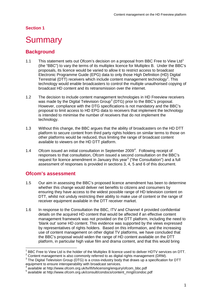# <span id="page-3-0"></span>**Summary**

## **Background**

- [1](#page-3-1).1 This statement sets out Ofcom's decision on a proposal from BBC Free to View Ltd<sup>1</sup> (the "BBC") to vary the terms of its multiplex licence for Multiplex B. Under the BBC's proposals, its licence would be varied to allow it to restrict access to broadcast Electronic Programme Guide (EPG) data to only those High Definition (HD) Digital Terrestrial (DTT) receivers which include content management technology<sup>[2](#page-3-2)</sup>. This technology would enable broadcasters to control the multiple unauthorised copying of broadcast HD content and its retransmission over the internet.
- 1.2 The decision to include content management technologies in HD Freeview receivers was made by the Digital Television Group<sup>[3](#page-3-3)</sup> (DTG) prior to the BBC's proposal. However, compliance with the DTG specifications is not mandatory and the BBC's proposal to limit access to HD EPG data to receivers that implement the technology is intended to minimise the number of receivers that do not implement the technology.
- 1.3 Without this change, the BBC argues that the ability of broadcasters on the HD DTT platform to secure content from third party rights holders on similar terms to those on other platforms would be reduced, thus limiting the range of broadcast content available to viewers on the HD DTT platform.
- 1.[4](#page-3-4) Ofcom issued an initial consultation in September 2009<sup>4</sup>. Following receipt of responses to that consultation, Ofcom issued a second consultation on the BBC's request for licence amendment in January this year<sup>[5](#page-3-5)</sup> ("the Consultation") and a full assessment of responses is provided in sections 3, 4, 5 and 6 of this document.

## **Ofcom's assessment**

- 1.5 Our aim in assessing the BBC's proposed licence amendment has been to determine whether this change would deliver net benefits to citizens and consumers by ensuring they have access to the widest possible range of HD television content on DTT, whilst not unduly restricting their ability to make use of content or the range of receiver equipment available in the DTT receiver market.
- 1.6 In response to the Consultation the BBC, ITV and Channel 4 provided confidential details on the acquired HD content that would be affected if an effective content management framework was not provided on the DTT platform, including the need to 'blank out' some HD content. This evidence was supported by the views expressed by representatives of rights holders. Based on this information, and the increasing use of content management on other digital TV platforms, we have concluded that the BBC's proposal would widen the range of HD content available on the DTT platform, in particular high value film and drama content, and that this would bring

 <sup>1</sup> BBC Free to View Ltd is the holder of the Multiplex B licence used to deliver HDTV services on DTT.

<span id="page-3-2"></span><span id="page-3-1"></span><sup>&</sup>lt;sup>2</sup> Content management is also commonly referred to as digital rights management (DRM).

<span id="page-3-3"></span><sup>&</sup>lt;sup>3</sup> The Digital Television Group (DTG) is a cross-industry body that draws up a specification for DTT equipment to ensure interoperability with broadcast services.<br>
4 available at http://www.ofcom.org.uk/tv/ifi/tvlicensing/enguiry/ofcom\_bbc.pdf

<span id="page-3-5"></span><span id="page-3-4"></span><sup>4</sup> available at http://www.ofcom.org.uk/consult/condocs/content\_mngt/condoc.pdf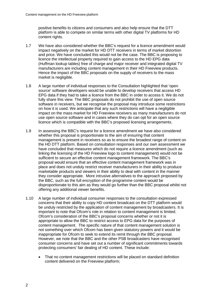positive benefits to citizens and consumers and also help ensure that the DTT platform is able to compete on similar terms with other digital TV platforms for HD content rights.

- 1.7 We have also considered whether the BBC's request for a licence amendment would impact negatively on the market for HD DTT receivers in terms of market distortion and price. We have concluded this would not be the case. The BBC is proposing to licence the intellectual property required to gain access to the HD EPG data (Huffman lookup tables) free of charge and major receiver and integrated digital TV manufacturers are including content management in their HD Freeview products. Hence the impact of the BBC proposals on the supply of receivers to the mass market is negligible.
- 1.8 A large number of individual responses to the Consultation highlighted that 'open source' software developers would be unable to develop receivers that access HD EPG data if they had to take a licence from the BBC in order to access it. We do not fully share this view. The BBC proposals do not prohibit the use of open source software in receivers, but we recognise the proposal may introduce some restrictions on how it is used. We anticipate that any such restrictions will have a negligible impact on the mass market for HD Freeview receivers as many manufacturers do not use open source software and in cases where they do can opt for an open source licence which is compatible with the BBC's proposed licensing arrangements.
- 1.9 In assessing the BBC's request for a licence amendment we have also considered whether this proposal is proportionate to the aim of ensuring that content management is present in receivers so as to ensure the broadest range of content on the HD DTT platform. Based on consultation responses and our own assessment we have concluded that measures which do not require a licence amendment (such as linking the licensing of the HD Freeview logo to content management) would not be sufficient to secure an effective content management framework. The BBC's proposal would ensure that an effective content management framework was in place and does not unduly restrict receiver manufacturers in their ability to produce marketable products and viewers in their ability to deal with content in the manner they consider appropriate. More intrusive alternatives to the approach proposed by the BBC, such as the full encryption of the programme content would be disproportionate to this aim as they would go further than the BBC proposal whilst not offering any additional viewer benefits.
- 1.10 A large number of individual consumer responses to the consultation expressed concerns that their ability to copy HD content broadcast on the DTT platform would be unduly restricted by the application of content management by broadcasters. It is important to note that Ofcom's role in relation to content management is limited. Ofcom's consideration of the BBC's proposal concerns whether or not it is appropriate to allow the BBC to restrict access to EPG data for the purposes of content management. The specific nature of that content management solution is not something over which Ofcom has been given statutory powers and it would be inappropriate for Ofcom to seek to extend its remit through the BBC proposal. However, we note that the BBC and the other PSB broadcasters have recognised consumer concerns and have set out a number of significant commitments towards protecting consumers' fair dealing of HD content. These include:
	- That no content management restrictions will be placed on standard definition content delivered on the Freeview platform;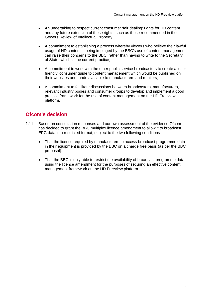- An undertaking to respect current consumer 'fair dealing' rights for HD content and any future extension of these rights, such as those recommended in the Gowers Review of Intellectual Property;
- A commitment to establishing a process whereby viewers who believe their lawful usage of HD content is being impinged by the BBC's use of content management can raise their concerns to the BBC, rather than having to write to the Secretary of State, which is the current practice;
- A commitment to work with the other public service broadcasters to create a 'user friendly' consumer guide to content management which would be published on their websites and made available to manufacturers and retailers;
- A commitment to facilitate discussions between broadcasters, manufacturers, relevant industry bodies and consumer groups to develop and implement a good practice framework for the use of content management on the HD Freeview platform.

# **Ofcom's decision**

- 1.11 Based on consultation responses and our own assessment of the evidence Ofcom has decided to grant the BBC multiplex licence amendment to allow it to broadcast EPG data in a restricted format, subject to the two following conditions:
	- That the licence required by manufacturers to access broadcast programme data in their equipment is provided by the BBC on a charge free basis (as per the BBC proposal).
	- That the BBC is only able to restrict the availability of broadcast programme data using the licence amendment for the purposes of securing an effective content management framework on the HD Freeview platform.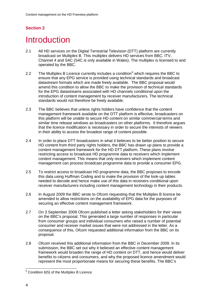# <span id="page-6-0"></span>**Introduction**

- 2.1 All HD services on the Digital Terrestrial Television (DTT) platform are currently broadcast on Multiplex B. This multiplex delivers HD services from BBC, ITV, Channel 4 and S4C (S4C is only available in Wales). The multiplex is licensed to and operated by the BBC.
- 2.2 The Multiplex B Licence currently includes a condition<sup>[6](#page-6-1)</sup> which requires the BBC to ensure that any EPG service is provided using technical standards and broadcast datastream formats which are made freely available. The BBC proposal would amend this condition to allow the BBC to make the provision of technical standards for the EPG datastreams associated with HD channels conditional upon the introduction of content management by receiver manufacturers. The technical standards would not therefore be freely available.
- 2.3 The BBC believes that unless rights holders have confidence that the content management framework available on the DTT platform is effective, broadcasters on this platform will be unable to secure HD content on similar commercial terms and similar time release windows as broadcasters on other platforms. It therefore argues that the licence modification is necessary in order to secure the interests of viewers in their ability to access the broadest range of content possible.
- 2.4 In order to place DTT broadcasters in what it believes to be better position to secure HD content from third party rights holders, the BBC has drawn up plans to provide a content management framework for the HD DTT platform. These plans involve restricting access to broadcast HD programme data to receivers which implement content management. This means that only receivers which implement content management can process broadcast programme data to provide a consumer EPG.
- 2.5 To restrict access to broadcast HD programme data, the BBC proposes to encode this data using Huffman Coding and to make the provision of the look-up tables needed to decode and hence make use of this data in receivers conditional upon receiver manufacturers including content management technology in their products.
- 2.6 In August 2009 the BBC wrote to Ofcom requesting that the Multiplex B licence be amended to allow restrictions on the availability of EPG data for the purposes of securing an effective content management framework.
- 2.7 On 3 September 2009 Ofcom published a letter asking stakeholders for their views on the BBC's proposal. This generated a large number of responses in particular from consumer groups and individual consumers who raised a number of potential consumer and receiver market issues that were not addressed in the letter. As a consequence of this, Ofcom requested additional information from the BBC on its proposal.
- 2.8 Ofcom received this additional information from the BBC in December 2009. In its submission, the BBC set out why it believed an effective content management framework would broaden the range of HD content on DTT, and hence would deliver benefits to citizens and consumers, and why the proposed licence amendment would represent the most proportionate means for securing these benefits. The BBC's

<span id="page-6-1"></span> $6$  Condition 6(5) of the Multiplex B Licence.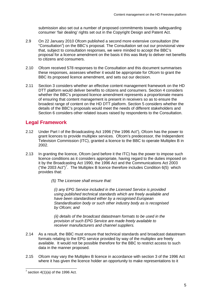submission also set out a number of proposed commitments towards safeguarding consumer 'fair dealing' rights set out in the Copyright Design and Patent Act.

- 2.9 On 22 January 2010 Ofcom published a second more extensive consultation (the "Consultation") on the BBC's proposal. The Consultation set out our provisional view that, subject to consultation responses, we were minded to accept the BBC's proposal for a licence amendment on the basis it this was likely to deliver net benefits to citizens and consumers.
- 2.10 Ofcom received 578 responses to the Consultation and this document summarises these responses, assesses whether it would be appropriate for Ofcom to grant the BBC its proposed licence amendment, and sets out our decision.
- 2.11 Section 3 considers whether an effective content management framework on the HD DTT platform would deliver benefits to citizens and consumers. Section 4 considers whether the BBC's proposed licence amendment represents a proportionate means of ensuring that content management is present in receivers so as to ensure the broadest range of content on the HD DTT platform. Section 5 considers whether the details of the BBC's proposals would meet the needs of different stakeholders and Section 6 considers other related issues raised by respondents to the Consultation.

## **Legal Framework**

- 2.12 Under Part I of the Broadcasting Act 1996 ("the 1996 Act"), Ofcom has the power to grant licences to provide multiplex services. Ofcom's predecessor, the Independent Television Commission (ITC), granted a licence to the BBC to operate Multiplex B in 2002.
- 2.13 In granting the licence, Ofcom (and before it the ITC) has the power to impose such licence conditions as it considers appropriate, having regard to the duties imposed on it by the Broadcasting Act 1990, the 1996 Act and the Communications Act 2003 ("the 2003 Act")<sup>[7](#page-7-0)</sup>. The Multiplex B licence therefore includes Condition 6(5) which provides that:
	- *(5) The Licensee shall ensure that:*

*(i) any EPG Service included in the Licensed Service is provided using published technical standards which are freely available and have been standardised either by a recognised European Standardisation body or such other industry body as is recognised by Ofcom; and*

*(ii) details of the broadcast datastream formats to be used in the provision of such EPG Service are made freely available to receiver manufacturers and channel suppliers.*

- 2.14 As a result, the BBC must ensure that technical standards and broadcast datastream formats relating to the EPG service provided by way of the multiplex are freely available. It would not be possible therefore for the BBC to restrict access to such data in the manner proposed.
- 2.15 Ofcom may vary the Multiplex B licence in accordance with section 3 of the 1996 Act where it has given the licence holder an opportunity to make representations to it

<span id="page-7-0"></span> $7$  section 4(1)(a) of the 1996 Act.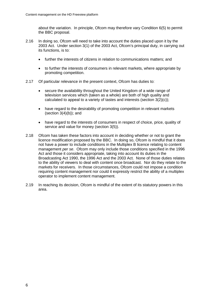about the variation. In principle, Ofcom may therefore vary Condition 6(5) to permit the BBC proposal.

- 2.16 In doing so, Ofcom will need to take into account the duties placed upon it by the 2003 Act. Under section 3(1) of the 2003 Act, Ofcom's principal duty, in carrying out its functions, is to:
	- further the interests of citizens in relation to communications matters; and
	- to further the interests of consumers in relevant markets, where appropriate by promoting competition.
- 2.17 Of particular relevance in the present context, Ofcom has duties to:
	- secure the availability throughout the United Kingdom of a wide range of television services which (taken as a whole) are both of high quality and calculated to appeal to a variety of tastes and interests (section 3(2)(c));
	- have regard to the desirability of promoting competition in relevant markets (section  $3(4)(b)$ ); and
	- have regard to the interests of consumers in respect of choice, price, quality of service and value for money (section 3(5)).
- 2.18 Ofcom has taken these factors into account in deciding whether or not to grant the licence modification proposed by the BBC. In doing so, Ofcom is mindful that it does not have a power to include conditions in the Multiplex B licence relating to content management *per se*. Ofcom may only include those conditions specified in the 1996 Act and those it considers appropriate, taking into account its duties in the Broadcasting Act 1990, the 1996 Act and the 2003 Act. None of those duties relates to the ability of viewers to deal with content once broadcast. Nor do they relate to the markets for receivers. In those circumstances, Ofcom could not impose a condition requiring content management nor could it expressly restrict the ability of a multiplex operator to implement content management.
- 2.19 In reaching its decision, Ofcom is mindful of the extent of its statutory powers in this area.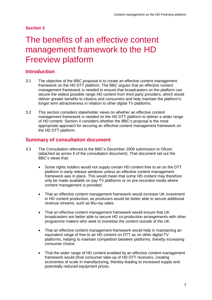# <span id="page-9-0"></span>The benefits of an effective content management framework to the HD Freeview platform

## **Introduction**

- 3.1 The objective of the BBC proposal is to create an effective content management framework on the HD DTT platform. The BBC argues that an effective content management framework is needed to ensure that broadcasters on the platform can secure the widest possible range HD content from third party providers, which would deliver greater benefits to citizens and consumers and help maintain the platform's longer term attractiveness in relation to other digital TV platforms.
- 3.2 This section considers stakeholder views on whether an effective content management framework is needed on the HD DTT platform to deliver a wider range of HD content. Section 4 considers whether the BBC's proposal is the most appropriate approach for securing an effective content management framework on the HD DTT platform.

## **Summary of consultation document**

- 3.3 The Consultation referred to the BBC's December 2009 submission to Ofcom (attached as annex 6 of the consultation document). That document set out the BBC's views that:
	- Some rights holders would not supply certain HD content free to air on the DTT platform in early release windows unless an effective content management framework was in place. This would mean that some HD content may therefore only be made available on pay TV platforms or on pre-recorded media where content management is provided.
	- That an effective content management framework would increase UK investment in HD content production, as producers would be better able to secure additional revenue streams, such as Blu-ray sales.
	- That an effective content management framework would ensure that UK broadcasters are better able to secure HD co-production arrangements with other programme makers who seek to monetise the content outside of the UK.
	- That an effective content management framework would help in maintaining an equivalent range of free to air HD content on DTT as on other digital TV platforms, helping to maintain competition between platforms, thereby increasing consumer choice.
	- That the wider range of HD content enabled by an effective content management framework would drive consumer take-up of HD DTT receivers, creating economies of scale in manufacturing, thereby leading to increased supply and potentially reduced equipment prices.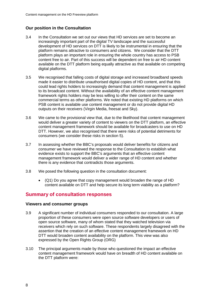### **Our position in the Consultation**

- 3.4 In the Consultation we set out our views that HD services are set to become an increasingly important part of the digital TV landscape and the successful development of HD services on DTT is likely to be instrumental in ensuring that the platform remains attractive to consumers and citizens. We consider that the DTT platform plays an important role in ensuring the whole country has access to PSB content free to air. Part of this success will be dependent on free to air HD content available on the DTT platform being equally attractive as that available on competing digital platforms.
- 3.5 We recognised that falling costs of digital storage and increased broadband speeds made it easier to distribute unauthorised digital copies of HD content, and that this could lead rights holders to increasingly demand that content management is applied to its broadcast content. Without the availability of an effective content management framework rights holders may be less willing to offer their content on the same commercial terms as other platforms. We noted that existing HD platforms on which PSB content is available use content management or do not provide digital HD outputs on their receivers (Virgin Media, freesat and Sky).
- 3.6 We came to the provisional view that, due to the likelihood that content management would deliver a greater variety of content to viewers on the DTT platform, an effective content management framework should be available for broadcasters to use on HD DTT. However, we also recognised that there were risks of potential detriments for consumers (we consider these risks in section 5).
- 3.7 In assessing whether the BBC's proposals would deliver benefits for citizens and consumer we have reviewed the response to the Consultation to establish what evidence exists to support the BBC's arguments that an effective content management framework would deliver a wider range of HD content and whether there is any evidence that contradicts those arguments.
- 3.8 We posed the following question in the consultation document:
	- (Q1) Do you agree that copy management would broaden the range of HD content available on DTT and help secure its long term viability as a platform?

## **Summary of consultation responses**

#### **Viewers and consumer groups**

- 3.9 A significant number of individual consumers responded to our consultation. A large proportion of these consumers were open source software developers or users of open source software, many of whom stated that they watched television via receivers which rely on such software. These respondents largely disagreed with the assertion that the creation of an effective content management framework on HD DTT would broaden content availability on the platform. This view was also expressed by the Open Rights Group (ORG)
- 3.10 The principal arguments made by those who questioned the impact an effective content management framework would have on breadth of HD content available on the DTT platform were: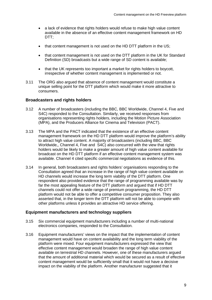- a lack of evidence that rights holders would refuse to make high value content available in the absence of an effective content management framework on HD DTT:
- that content management is not used on the HD DTT platform in the US;
- that content management is not used on the DTT platform in the UK for Standard Definition (SD) broadcasts but a wide range of SD content is available;
- that the UK represents too important a market for rights holders to boycott, irrespective of whether content management is implemented or not.
- 3.11 The ORG also argued that absence of content management would constitute a unique selling point for the DTT platform which would make it more attractive to consumers.

#### **Broadcasters and rights holders**

- 3.12 A number of broadcasters (including the BBC, BBC Worldwide, Channel 4, Five and S4C) responded to the Consultation. Similarly, we received responses from organisations representing rights holders, including the Motion Picture Association (MPA), and the Producers Alliance for Cinema and Television (PACT).
- 3.13 The MPA and the PACT indicated that the existence of an effective content management framework on the HD DTT platform would improve the platform's ability to attract high value content. A majority of broadcasters (including BBC, BBC Worldwide,, Channel 4, Five and S4C) also concurred with the view that rights holders would be likely to make a greater amount of high value content available for broadcast on the HD DTT platform if an effective content management system was available. Channel 4 cited specific commercial negotiations as evidence of this.
- 3.14 In general, both broadcasters and rights holders' organisations responding to the Consultation agreed that an increase in the range of high value content available on HD channels would increase the long term viability of the DTT platform. One respondent also provided evidence that the range of programming available was by far the most appealing feature of the DTT platform and argued that if HD DTT channels could not offer a wide range of premium programming, the HD DTT platform would not be able to offer a competitive consumer proposition. They also asserted that, in the longer term the DTT platform will not be able to compete with other platforms unless it provides an attractive HD service offering.

#### **Equipment manufacturers and technology suppliers**

- 3.15 Six commercial equipment manufacturers including a number of multi-national electronics companies, responded to the Consultation.
- 3.16 Equipment manufacturers' views on the impact that the implementation of content management would have on content availability and the long term viability of the platform were mixed. Four equipment manufacturers expressed the view that effective content management would broaden the range of high value content available on terrestrial HD channels. However, one of these manufacturers argued that the amount of additional material which would be secured as a result of effective content management would be sufficiently small that it would not have a decisive impact on the viability of the platform. Another manufacturer suggested that it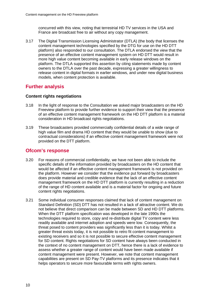concurred with this view, noting that terrestrial HD TV services in the USA and France are broadcast free to air without any copy management.

3.17 The Digital Transmission Licensing Administrator (DTLA) (the body that licenses the content management technologies specified by the DTG for use on the HD DTT platform) also responded to our consultation. The DTLA endorsed the view that the presence of an effective content management system on HD DTT would result in more high value content becoming available in early release windows on the platform. The DTLA supported this assertion by citing statements made by content owners to the DTLA over the past decade, expressing a greater willingness to release content in digital formats in earlier windows, and under new digital business models, when content protection is available.

## **Further analysis**

### **Content rights negotiations**

- 3.18 In the light of response to the Consultation we asked major broadcasters on the HD Freeview platform to provide further evidence to support their view that the presence of an effective content management framework on the HD DTT platform is a material consideration in HD broadcast rights negotiations.
- 3.19 These broadcasters provided commercially confidential details of a wide range of high value film and drama HD content that they would be unable to show (due to contractual considerations) if an effective content management framework were not provided on the DTT platform.

## **Ofcom's response**

- 3.20 For reasons of commercial confidentiality, we have not been able to include the specific details of the information provided by broadcasters on the HD content that would be affected if an effective content management framework is not provided on the platform. However we consider that the evidence put forward by broadcasters does provide material and credible evidence that the lack of an effective content management framework on the HD DTT platform is currently resulting in a reduction of the range of HD content available and is a material factor for ongoing and future content rights negotiations.
- 3.21 Some individual consumer responses claimed that lack of content management on Standard Definition (SD) DTT has not resulted in a lack of attractive content. We do not believe that direct comparison can be made between SD and HD DTT platforms. When the DTT platform specification was developed in the late 1990s the technologies required to store, copy and re-distribute digital TV content were less readily available and internet adoption and speeds were low. Consequently, the threat posed to content providers was significantly less than it is today. Whilst a greater threat exists today, it is not possible to retro fit content management to existing receivers and so it is not possible to secure effective content management for SD content. Rights negotiations for SD content have always been conducted in the context of no content management on DTT, hence there is a lack of evidence to assess whether a greater range of content would have been made available if content management were present. However, we note that content management capabilities are present on SD Pay-TV platforms and its presence indicates that it helps operators to secure more favourable terms with rights owners.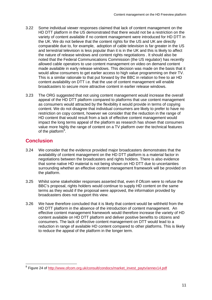- 3.22 Some individual viewer responses claimed that lack of content management on the HD DTT platform in the US demonstrated that there would not be a restriction on the variety of content available if no content management were introduced for HD DTT in the UK. We do not believe that the content rights for the US and UK are directly comparable due to, for example, adoption of cable television is far greater in the US and terrestrial television is less popular than it is in the UK and this is likely to affect the nature of release windows and content rights negotiations . It should also be noted that the Federal Communications Commission (the US regulator) has recently allowed cable operators to use content management on video on demand content made available in early release windows. This decision was made on the basis that it would allow consumers to get earlier access to high value programming on their TV. This is a similar rationale to that put forward by the BBC in relation to free to air HD content availability on DTT i.e. that the use of content management will enable broadcasters to secure more attractive content in earlier release windows.
- 3.23 The ORG suggested that not using content management would increase the overall appeal of the HD DTT platform compared to platforms that use content management as consumers would attracted by the flexibility it would provide in terms of copying content. We do not disagree that individual consumers are likely to prefer to have no restriction on copy content, however we consider that the reduction in the range of HD content that would result from a lack of effective content management would impact the long terms appeal of the platform as research has shown that consumers value more highly the range of content on a TV platform over the technical features of the platform $8$ .

# **Conclusion**

- 3.24 We consider that the evidence provided major broadcasters demonstrates that the availability of content management on the HD DTT platform is a material factor in negotiations between the broadcasters and rights holders. There is also evidence that some native HD material is not being shown on HD DTT due to uncertainties surrounding whether an effective content management framework will be provided on the platform.
- 3.25 Whilst some stakeholder responses asserted that, even if Ofcom were to refuse the BBC's proposal, rights holders would continue to supply HD content on the same terms as they would if the proposal were approved, the information provided by broadcasters does not support this view.
- 3.26 We have therefore concluded that it is likely that content would be withheld from the HD DTT platform in the absence of the introduction of content management. An effective content management framework would therefore increase the variety of HD content available on HD DTT platform and deliver positive benefits to citizens and consumers. The lack of effective content management on DTT would lead to a reduction in range of available HD content compared to other platforms. This is likely to reduce the appeal of the platform in the longer term.

<span id="page-13-0"></span> <sup>8</sup> Figure 24 of [http://www.ofcom.org.uk/consult/condocs/market\\_invest\\_paytv/annex14.pdf](http://www.ofcom.org.uk/consult/condocs/market_invest_paytv/annex14.pdf)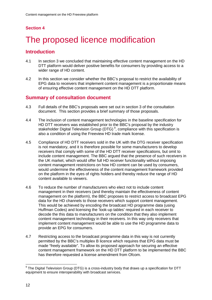# <span id="page-14-0"></span>The proposed licence modification

## **Introduction**

- 4.1 In section 3 we concluded that maintaining effective content management on the HD DTT platform would deliver positive benefits for consumers by providing access to a wider range of HD content.
- 4.2 In this section we consider whether the BBC's proposal to restrict the availability of EPG data to receivers that implement content management is a proportionate means of ensuring effective content management on the HD DTT platform.

## **Summary of consultation document**

- 4.3 Full details of the BBC's proposals were set out in section 3 of the consultation document. This section provides a brief summary of those proposals.
- 4.4 The inclusion of content management technologies in the baseline specification for HD DTT receivers was established prior to the BBC's proposal by the industry stakeholder Digital Television Group (DTG)<sup>[9](#page-14-1)</sup>, compliance with this specification is also a condition of using the Freeview HD trade mark license.
- 4.5 Compliance of HD DTT receivers sold in the UK with the DTG receiver specification is not mandatory, and it is therefore possible for some manufacturers to develop receivers that comply with some of the HD DTT receiver specifications, but omit to include content management. The BBC argued that the presence of such receivers in the UK market, which would offer full HD receiver functionality without imposing content management restrictions on how HD content can be used by consumers, would undermine the effectiveness of the content management framework provided on the platform in the eyes of rights holders and thereby reduce the range of HD content available to viewers.
- 4.6 To reduce the number of manufacturers who elect not to include content management in their receivers (and thereby maintain the effectiveness of content management on the platform), the BBC proposes to restrict access to broadcast EPG data for the HD channels to those receivers which support content management. This would be achieved by encoding the broadcast HD programme data (using Huffman Codes) and licensing the 'look-up tables' required in each receiver to decode the this data to manufacturers on the condition that they also implement content management technology in their receivers. In this way only receivers that implement content management would be able to use the HD programme data to provide an EPG for consumers.
- 4.7 Restricting access to the broadcast programme data in this way is not currently permitted by the BBC's multiplex B licence which requires that EPG data must be made "freely available". To allow its proposed approach for securing an effective content management framework on the HD DTT platform to be implemented the BBC has therefore requested a license amendment from Ofcom.

<span id="page-14-1"></span> $9$  The Digital Television Group (DTG) is a cross-industry body that draws up a specification for DTT equipment to ensure interoperability with broadcast services.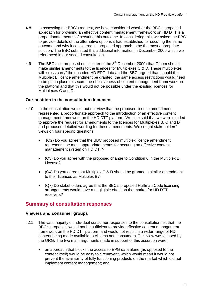- 4.8 In assessing the BBC's request, we have considered whether the BBC's proposed approach for providing an effective content management framework on HD DTT is a proportionate means of securing this outcome. In considering this, we asked the BBC to provide details of the alternative options it had established for securing the same outcome and why it considered its proposed approach to be the most appropriate solution. The BBC submitted this additional information in December 2009 which we referenced in our second consultation.
- 4.9 The BBC also proposed (in its letter of the  $8<sup>th</sup>$  December 2009) that Ofcom should make similar amendments to the licences for Multiplexes C & D. These multiplexes will "cross carry" the encoded HD EPG data and the BBC argued that, should the Multiplex B licence amendment be granted, the same access restrictions would need to be put in place to secure the effectiveness of content management framework on the platform and that this would not be possible under the existing licences for Multiplexes C and D.

#### **Our position in the consultation document**

- 4.10 In the consultation we set out our view that the proposed licence amendment represented a proportionate approach to the introduction of an effective content management framework on the HD DTT platform. We also said that we were minded to approve the request for amendments to the licences for Multiplexes B, C and D and proposed detailed wording for these amendments. We sought stakeholders' views on four specific questions:
	- (Q2) Do you agree that the BBC proposed multiplex licence amendment represents the most appropriate means for securing an effective content management system on HD DTT?
	- (Q3) Do you agree with the proposed change to Condition 6 in the Multiplex B License?
	- $(Q4)$  Do you agree that Multiplex C & D should be granted a similar amendment to their licences as Multiplex B?
	- (Q7) Do stakeholders agree that the BBC's proposed Huffman Code licensing arrangements would have a negligible effect on the market for HD DTT receivers?

## **Summary of consultation responses**

#### **Viewers and consumer groups**

- 4.11 The vast majority of individual consumer responses to the consultation felt that the BBC's proposals would not be sufficient to provide effective content management framework on the HD DTT platform and would not result in a wider range of HD content being made available to citizens and consumers. This view was echoed by the ORG. The two main arguments made in support of this assertion were:
	- an approach that blocks the access to EPG data alone (as opposed to the content itself) would be easy to circumvent, which would mean it would not prevent the availability of fully functioning products on the market which did not implement content management; and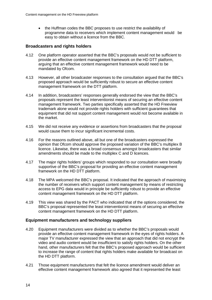• the Huffman codes the BBC proposes to use restrict the availability of programme data to receivers which implement content management would be easy to obtain without a licence from the BBC.

### **Broadcasters and rights holders**

- 4.12 One platform operator asserted that the BBC's proposals would not be sufficient to provide an effective content management framework on the HD DTT platform, arguing that an effective content management framework would need to be mandated by Ofcom.
- 4.13 However, all other broadcaster responses to the consultation argued that the BBC's proposed approach would be sufficiently robust to secure an effective content management framework on the DTT platform.
- 4.14 In addition, broadcasters' responses generally endorsed the view that the BBC's proposals represent the least interventionist means of securing an effective content management framework. Two parties specifically asserted that the HD Freeview trademark alone would not provide rights holders with sufficient guarantees that equipment that did not support content management would not become available in the market.
- 4.15 We did not receive any evidence or assertions from broadcasters that the proposal would cause them to incur significant incremental costs.
- 4.16 For the reasons outlined above, all but one of the broadcasters expressed the opinion that Ofcom should approve the proposed variation of the BBC's multiplex B licence. Likewise, there was a broad consensus amongst broadcasters that similar amendments should be made to the multiplex C and D licences.
- 4.17 The major rights holders' groups which responded to our consultation were broadly supportive of the BBC's proposal for providing an effective content management framework on the HD DTT platform.
- 4.18 The MPA welcomed the BBC's proposal. It indicated that the approach of maximising the number of receivers which support content management by means of restricting access to EPG data would in principle be sufficiently robust to provide an effective content management framework on the HD DTT platform.
- 4.19 This view was shared by the PACT who indicated that of the options considered, the BBC's proposal represented the least interventionist means of securing an effective content management framework on the HD DTT platform.

### **Equipment manufacturers and technology suppliers**

- 4.20 Equipment manufacturers were divided as to whether the BBC's proposals would provide an effective content management framework in the eyes of rights holders. A major TV manufacturer expressed the view that an approach that did not encrypt the video and audio content would be insufficient to satisfy rights holders. On the other hand, other manufacturers felt that the BBC's proposed approach would be sufficient to increase the range of content that rights holders make available for broadcast on the HD DTT platform.
- 4.21 Those equipment manufacturers that felt the licence amendment would deliver an effective content management framework also agreed that it represented the least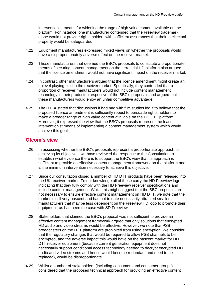interventionist means for widening the range of high value content available on the platform. For instance, one manufacturer contended that the Freeview trademark alone would not provide rights holders with sufficient assurances that their intellectual property would be safeguarded.

- 4.22 Equipment manufacturers expressed mixed views on whether the proposals would have a disproportionately adverse effect on the receiver market.
- 4.23 Those manufacturers that deemed the BBC's proposals to constitute a proportionate means of securing content management on the terrestrial HD platform also argued that the licence amendment would not have significant impact on the receiver market.
- 4.24 In contrast, other manufacturers argued that the licence amendment might create an unlevel playing field in the receiver market. Specifically, they contended that a proportion of receiver manufacturers would not include content management technology in their products irrespective of the BBC's proposals and argued that these manufacturers would enjoy an unfair competitive advantage.
- 4.25 The DTLA stated that discussions it had had with film studios led it to believe that the proposed licence amendment is sufficiently robust to persuade rights holders to make a broader range of high value content available on the HD DTT platform. Moreover, it expressed the view that the BBC's proposals represent the least interventionist means of implementing a content management system which would achieve this goal.

## **Ofcom's view**

- 4.26 In assessing whether the BBC's proposals represent a proportionate approach to achieving its objectives, we have reviewed the response to the Consultation to establish what evidence there is to support the BBC's view that its approach is sufficient to provide an effective content management framework on the platform and is the minimum intervention necessary to achieve this objective.
- 4.27 Since our consultation closed a number of HD DTT products have been released into the UK receiver market. To our knowledge all of these carry the HD Freeview logo, indicating that they fully comply with the HD Freeview receiver specifications and include content management. Whilst this might suggest that the BBC proposals are not necessary to ensure effective content management on HD DTT, we note that the market is still very nascent and has not to date necessarily attracted smaller manufacturers that may be less dependent on the Freeview HD logo to promote their equipment, as has been the case with SD Freeview.
- 4.28 Stakeholders that claimed the BBC's proposal was not sufficient to provide an effective content management framework argued that only solutions that encrypted HD audio and video streams would be effective. However, we note that PSB broadcasters on the DTT platform are prohibited from using encryption. We consider that the regulatory changes that would be required to allow PSB channels to be encrypted, and the adverse impact this would have on the nascent market for HD DTT receiver equipment (because current generation equipment does not necessarily support conditional access technology needed to decrypt encrypted HD audio and video streams and hence would become redundant and need to be replaced), would be disproportionate.
- 4.29 Whilst a number of stakeholders (including consumers and consumer groups) considered that the proposed technical approach for providing an effective content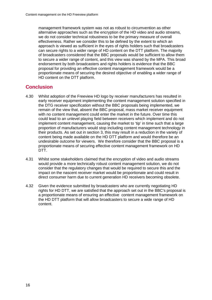management framework system was not as robust to circumvention as other alternative approaches such as the encryption of the HD video and audio streams, we do not consider technical robustness to be the primary measure of overall effectiveness. Rather we consider this to be defined by the extent to which an approach is viewed as sufficient in the eyes of rights holders such that broadcasters can secure rights to a wider range of HD content on the DTT platform. The majority of broadcasters considered that the BBC proposals would be sufficient to allow them to secure a wider range of content, and this view was shared by the MPA. This broad endorsement by both broadcasters and rights holders is evidence that the BBC proposal for providing an effective content management framework would be a proportionate means of securing the desired objective of enabling a wider range of HD content on the DTT platform.

## **Conclusion**

- 4.30 Whilst adoption of the Freeview HD logo by receiver manufacturers has resulted in early receiver equipment implementing the content management solution specified in the DTG receiver specification without the BBC proposals being implemented, we remain of the view that, absent the BBC proposal, mass market receiver equipment with no content management could enter the market in the future. Over time this could lead to an unlevel playing field between receivers which implement and do not implement content management, causing the market to 'tip' in time such that a large proportion of manufacturers would stop including content management technology in their products. As set out in section 3, this may result in a reduction in the variety of content being made available on the HD DTT platform and would therefore be an undesirable outcome for viewers. We therefore consider that the BBC proposal is a proportionate means of securing effective content management framework on HD DTT.
- 4.31 Whilst some stakeholders claimed that the encryption of video and audio streams would provide a more technically robust content management solution, we do not consider that the regulatory changes that would be required to secure this and the impact on the nascent receiver market would be proportionate and could result in direct consumer harm due to current generation HD receivers becoming obsolete.
- 4.32 Given the evidence submitted by broadcasters who are currently negotiating HD rights for HD DTT, we are satisfied that the approach set out in the BBC's proposal is a proportionate means of ensuring an effective content management framework on the HD DTT platform that will allow broadcasters to secure a wide range of HD content.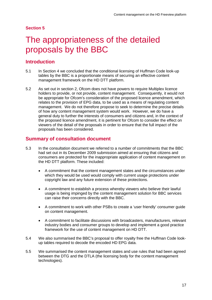# <span id="page-19-0"></span>The appropriateness of the detailed proposals by the BBC

## **Introduction**

- 5.1 In Section 4 we concluded that the conditional licensing of Huffman Code look-up tables by the BBC is a proportionate means of securing an effective content management framework on the HD DTT platform.
- 5.2 As set out in section 2, Ofcom does not have powers to require Multiplex licence holders to provide, or not provide, content management. Consequently, it would not be appropriate for Ofcom's consideration of the proposed licence amendment, which relates to the provision of EPG data, to be used as a means of regulating content management. We do not therefore propose to seek to determine the precise details of how any content management system would work. However, we do have a general duty to further the interests of consumers and citizens and, in the context of the proposed licence amendment, it is pertinent for Ofcom to consider the effect on viewers of the detail of the proposals in order to ensure that the full impact of the proposals has been considered.

## **Summary of consultation document**

- 5.3 In the consultation document we referred to a number of commitments that the BBC had set out in its December 2009 submission aimed at ensuring that citizens and consumers are protected for the inappropriate application of content management on the HD DTT platform. These included:
	- A commitment that the content management states and the circumstances under which they would be used would comply with current usage protections under copyright law and any future extension of these protections.
	- A commitment to establish a process whereby viewers who believe their lawful usage is being impinged by the content management solution for BBC services can raise their concerns directly with the BBC.
	- A commitment to work with other PSBs to create a 'user friendly' consumer guide on content management.
	- A commitment to facilitate discussions with broadcasters, manufacturers, relevant industry bodies and consumer groups to develop and implement a good practice framework for the use of content management on HD DTT.
- 5.4 We also summarised the BBC's proposal to offer royalty free the Huffman Code lookup tables required to decode the encoded HD EPG data.
- 5.5 We summarised the content management states and use rules that had been agreed between the DTG and the DTLA (the licensing body for the content management technologies).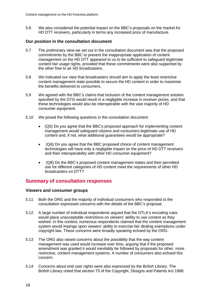5.6 We also considered the potential impact on the BBC's proposals on the market for HD DTT receivers, particularly in terms any increased price of manufacture.

### **Our position in the consultation document**

- 5.7 The preliminary view we set out in the consultation document was that the proposed commitments by the BBC to prevent the inappropriate application of content management on the HD DTT appeared to us to be sufficient to safeguard legitimate content fair usage rights, provided that these commitments were also supported by the other free to air HD broadcasters.
- 5.8 We indicated our view that broadcasters should aim to apply the least restrictive content management state possible to secure the HD content in order to maximise the benefits delivered to consumers.
- 5.9 We agreed with the BBC's claims that inclusion of the content management solution specified by the DTG would result in a negligible increase in receiver prices, and that these technologies would also be interoperable with the vast majority of HD consumer equipment.
- 5.10 We posed the following questions in the consultation document:
	- (Q5) Do you agree that the BBC's proposed approach for implementing content management would safeguard citizens and consumers legitimate use of HD content and, if not, what additional guarantees would be appropriate?
	- (Q6) Do you agree that the BBC proposed choice of content management technologies will have only a negligible impact on the price of HD DTT receivers and their interoperability with other HD consumer equipment?
	- (Q8) Do the BBC's proposed content management states and their permitted use for different categories of HD content meet the requirements of other HD broadcasters on DTT?

## **Summary of consultation responses**

#### **Viewers and consumer groups**

- 5.11 Both the ORG and the majority of individual consumers who responded to the consultation expressed concerns with the details of the BBC's proposal.
- 5.12 A large number of individual respondents argued that the DTLA's encoding rules would place unacceptable restrictions on viewers' ability to use content as they wished. In this context, numerous respondents claimed that the content management system would impinge upon viewers' ability to exercise fair dealing exemptions under copyright law. These concerns were broadly speaking echoed by the ORG.
- 5.13 The ORG also raised concerns about the possibility that the way content management was used would increase over time, arguing that if the proposed amendment was granted it would inevitably be followed by proposals for other, more restrictive, content management systems. A number of consumers also echoed this concern.
- 5.14 Concerns about end user rights were also expressed by the British Library. The British Library noted that section 75 of the Copyright, Designs and Patents Act 1988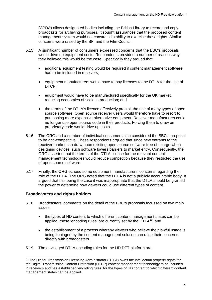(CPDA) allows designated bodies including the British Library to record and copy broadcasts for archiving purposes. It sought assurances that the proposed content management system would not constrain its ability to exercise these rights. Similar concerns were raised by the BFI and the Film Council.

- 5.15 A significant number of consumers expressed concerns that the BBC's proposals would drive up equipment costs. Respondents provided a number of reasons why they believed this would be the case. Specifically they argued that:
	- additional equipment testing would be required if content management software had to be included in receivers;
	- equipment manufacturers would have to pay licenses to the DTLA for the use of DTCP;
	- equipment would have to be manufactured specifically for the UK market, reducing economies of scale in production; and
	- the terms of the DTLA's licence effectively prohibit the use of many types of open source software. Open source receiver users would therefore have to resort to purchasing more expensive alternative equipment. Receiver manufacturers could no longer use open source code in their products. Forcing them to draw on proprietary code would drive up costs.
- 5.16 The ORG and a number of individual consumers also considered the BBC's proposal to be anti-competitive. These respondents argued that since new entrants to the receiver market can draw upon existing open source software free of charge when designing devices, such software lowers barriers to market entry. Consequently, the ORG asserted that the terms of the DTLA licence for the relevant content management technologies would reduce competition because they restricted the use of open source software.
- 5.17 Finally, the ORG echoed some equipment manufacturers' concerns regarding the role of the DTLA. The ORG noted that the DTLA is not a publicly accountable body. It argued that this being the case it was inappropriate that the DTLA should be granted the power to determine how viewers could use different types of content.

#### **Broadcasters and rights holders**

- 5.18 Broadcasters' comments on the detail of the BBC's proposals focussed on two main issues:
	- the types of HD content to which different content management states can be applied, these 'encoding rules' are currently set by the  $DTLA^{10}$  $DTLA^{10}$  $DTLA^{10}$ ; and
	- the establishment of a process whereby viewers who believe their lawful usage is being impinged by the content management solution can raise their concerns directly with broadcasters.
- 5.19 The envisaged DTLA encoding rules for the HD DTT platform are:

<span id="page-21-0"></span><sup>&</sup>lt;sup>10</sup> The Digital Transmission Licensing Administrator (DTLA) owns the intellectual property rights for the Digital Transmission Content Protection (DTCP) content management technology to be included in receivers and has established 'encoding rules' for the types of HD content to which different content management states can be applied.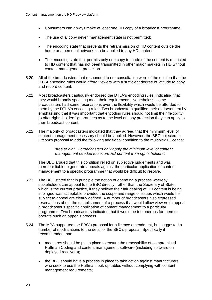- Consumers can always make at least one HD copy of a broadcast programme;
- The use of a 'copy never' management state is not permitted;
- The encoding state that prevents the retransmission of HD content outside the home or a personal network can be applied to any HD content;
- The encoding state that permits only one copy to made of the content is restricted to HD content that has not been transmitted in other major markets in HD without content management protection.
- 5.20 All of the broadcasters that responded to our consultation were of the opinion that the DTLA encoding rules would afford viewers with a sufficient degree of latitude to copy and record content.
- 5.21 Most broadcasters cautiously endorsed the DTLA's encoding rules, indicating that they would broadly speaking meet their requirements. Nonetheless, some broadcasters had some reservations over the flexibility which would be afforded to them by the DTLA's encoding rules. Two broadcasters qualified their endorsement by emphasising that it was important that encoding rules should not limit their flexibility to offer rights holders' guarantees as to the level of copy protection they can apply to their broadcast content.
- 5.22 The majority of broadcasters indicated that they agreed that the minimum level of content management necessary should be applied. However, the BBC objected to Ofcom's proposal to add the following additional condition to the multiplex B licence:

*'free to air HD broadcasters only apply the minimum level of content management needed to secure HD content from rights holders'.* 

The BBC argued that this condition relied on subjective judgements and was therefore liable to generate appeals against the particular application of content management to a specific programme that would be difficult to resolve.

- 5.23 The BBC stated that in principle the notion of operating a process whereby stakeholders can appeal to the BBC directly, rather than the Secretary of State, which is the current practice, if they believe their fair dealing of HD content is being impinged was acceptable provided the scope and range of issues which would be subject to appeal are clearly defined. A number of broadcasters also expressed reservations about the establishment of a process that would allow viewers to appeal a broadcaster's specific application of content management to a particular programme. Two broadcasters indicated that it would be too onerous for them to operate such an appeals process.
- 5.24 The MPA supported the BBC's proposal for a licence amendment, but suggested a number of modifications to the detail of the BBC's proposal. Specifically it recommended that:
	- measures should be put in place to ensure the renewability of compromised Huffman Coding and content management software (including software on deployed receivers);
	- the BBC should have a process in place to take action against manufacturers who seek to use the Huffman look-up tables without complying with content management requirements;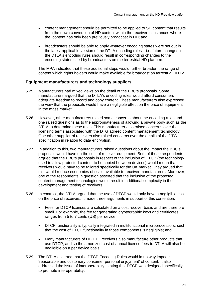- content management should be permitted to be applied to SD content that results from the down conversion of HD content within the receiver in instances where the content has only been previously broadcast in HD; and
- broadcasters should be able to apply whatever encoding states were set out in the latest applicable version of the DTLA encoding rules – i.e. future changes in the DTLA's encoding rules should result in corresponding changes to the encoding states used by broadcasters on the terrestrial HD platform.

The MPA indicated that these additional steps would further broaden the range of content which rights holders would make available for broadcast on terrestrial HDTV.

#### **Equipment manufacturers and technology suppliers**

- 5.25 Manufacturers had mixed views on the detail of the BBC's proposals. Some manufacturers argued that the DTLA's encoding rules would afford consumers adequate freedom to record and copy content. These manufacturers also expressed the view that the proposals would have a negligible effect on the price of equipment in the mass market.
- 5.26 However, other manufacturers raised some concerns about the encoding rules and one raised questions as to the appropriateness of allowing a private body such as the DTLA to determine these rules. This manufacturer also raised concerns over the licensing terms associated with the DTG agreed content management technology. One other supplier of receivers also raised concerns over the details of the DTG specification in relation to data encryption.
- 5.27 In addition to this, two manufacturers raised questions about the impact the BBC's proposals would have on the cost of receiver equipment. Both of these respondents argued that the BBC's proposals in respect of the inclusion of DTCP (the technology used to allow protected content to be copied between devices) would mean that receivers would have to be tailored specifically for the UK market. They argued that this would reduce economies of scale available to receiver manufacturers. Moreover, one of the respondents in question asserted that the inclusion of the proposed content management technologies would result in additional complexity in the development and testing of receivers.
- 5.28 In contrast, the DTLA argued that the use of DTCP would only have a negligible cost on the price of receivers. It made three arguments in support of this contention:
	- Fees for DTCP licenses are calculated on a cost recover basis and are therefore small. For example, the fee for generating cryptographic keys and certificates ranges from 5 to 7 cents (US) per device;
	- DTCP functionality is typically integrated in multifunctional microprocessors, such that the cost of DTCP functionality in those components is negligible; and
	- Many manufacturers of HD DTT receivers also manufacture other products that use DTCP, and so the amortized cost of annual licence fees to DTLA will also be negligible on a per device basis.
- 5.29 The DTLA asserted that the DTCP Encoding Rules would in no way impede 'reasonable and customary consumer personal enjoyment' of content. It also addressed the issue of interoperability, stating that DTCP was designed specifically to promote interoperability.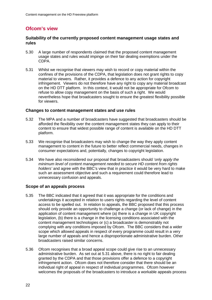# **Ofcom's view**

#### **Suitability of the currently proposed content management usage states and rules**

- 5.30 A large number of respondents claimed that the proposed content management usage states and rules would impinge on their fair dealing exemptions under the CDPA.
- 5.31 Whilst we recognise that viewers may wish to record or copy material within the confines of the provisions of the CDPA, that legislation does not grant rights to copy material to viewers. Rather, it provides a defence to any action for copyright infringement. Viewers do not therefore have any right to copy any material broadcast on the HD DTT platform. In this context, it would not be appropriate for Ofcom to refuse to allow copy management on the basis of such a right. We would nevertheless hope that broadcasters sought to ensure the greatest flexibility possible for viewers.

#### **Changes to content management states and use rules**

- 5.32 The MPA and a number of broadcasters have suggested that broadcasters should be afforded the flexibility over the content management states they can apply to their content to ensure that widest possible range of content is available on the HD DTT platform.
- 5.33 We recognise that broadcasters may wish to change the way they apply content management to content in the future to better reflect commercial needs, changes in consumer expectations and, potentially, changes to copyright legislation.
- 5.34 We have also reconsidered our proposal that broadcasters should '*only apply the minimum level of content management needed to secure HD content from rights holders'* and agree with the BBC's view that in practice it would be very hard to make such an assessment objective and such a requirement could therefore lead to unnecessary confusion and appeals.

### **Scope of an appeals process**

- 5.35 The BBC indicated that it agreed that it was appropriate for the conditions and undertakings it accepted in relation to users rights regarding the level of content access to be spelled out. In relation to appeals, the BBC proposed that this process should only provide an opportunity to challenge a change (or lack of change) in the application of content management where (a) there is a change in UK copyright legislation, (b) there is a change in the licensing conditions associated with the content management technologies or (c) a broadcaster is demonstrably not complying with any conditions imposed by Ofcom. The BBC considers that a wider scope which allowed appeals in respect of every programme could result in a very large number of appeals and hence a disproportionate administrative burden. Other broadcasters raised similar concerns.
- 5.36 Ofcom recognises that a broad appeal scope could give rise to an unnecessary administrative burden. As set out at 5.31 above, there is no right to fair dealing granted by the CDPA and that those provisions offer a defence to a copyright infringement action. Ofcom does not therefore consider that there should be an individual right of appeal in respect of individual programmes. Ofcom however welcomes the proposals of the broadcasters to introduce a workable appeals process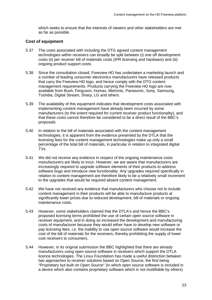which seeks to ensure that the interests of viewers and other stakeholders are met as far as possible.

#### **Cost of equipment**

- 5.37 The costs associated with including the DTG agreed content management technologies within receivers can broadly be split between (i) one off development costs (ii) per receiver bill of materials costs (IPR licensing and hardware) and (iii) ongoing product support costs.
- 5.38 Since the consultation closed, Freeview HD has undertaken a marketing launch and a number of leading consumer electronics manufacturers have released products that carry the Freeview HD logo, and hence comply with the DTG content management requirements. Products carrying the Freeview HD logo are now available from Bush, Ferguson, Humax, Metronic, Panasonic, Sony, Samsung, Toshiba, Digital Stream, Sharp, LG and others.
- 5.39 The availability of this equipment indicates that development costs associated with implementing content management have already been incurred by some manufacturers (to the extent required for current receiver product functionality), and that these costs cannot therefore be considered to be a direct result of the BBC's proposals.
- 5.40 In relation to the bill of materials associated with the content management technologies, it is apparent from the evidence presented by the DTLA that the licensing fees for the content management technologies make up only a small percentage of the total bill of materials, in particular in relation to integrated digital TVs.
- 5.41 We did not receive any evidence in respect of the ongoing maintenance costs manufacturers are likely to incur. However, we are aware that manufacturers are increasingly required to upgrade software elements of their products to address software bugs and introduce new functionality. Any upgrades required specifically in relation to content management are therefore likely to be a relatively small increment to the upgrades that would be required absent content management.
- 5.42 We have not received any evidence that manufacturers who choose not to include content management in their products will be able to manufacture products at significantly lower prices due to reduced development, bill of materials or ongoing maintenance costs.
- 5.43 However, some stakeholders claimed that the DTLA's and hence the BBC's proposed licensing terms prohibited the use of certain open source software in receiver equipment, and in doing so increased the development and manufacturing costs of manufacturer because they would either have to develop new software or pay licensing fees. i.e. the inability to use open source software would increase the cost of the bill of materials for the receivers, thereby prohibiting the supply of lower cost receivers to consumers.
- 5.44 However, in its original submission the BBC highlighted that there are already manufacturers using open source software in receivers which support the DTLA licence technologies. The Linux Foundation has made a useful distinction between two approaches to receiver solutions based on Open Source, the first being "Proprietary but built on Open Source" (in which open source software is included in a device which also contains proprietary software which is not modifiable by others)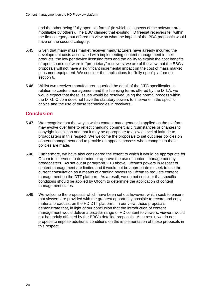and the other being "fully open platforms" (in which all aspects of the software are modifiable by others). The BBC claimed that existing HD freesat receivers fell within the first category, but offered no view on what the impact of the BBC proposals would have on the second category.

- 5.45 Given that many mass market receiver manufacturers have already incurred the development costs associated with implementing content management in their products, the low per device licensing fees and the ability to exploit the cost benefits of open source software in "proprietary" receivers, we are of the view that the BBCs proposals will not have a significant incremental impact on the cost of mass market consumer equipment. We consider the implications for "fully open" platforms in section 6.
- 5.46 Whilst two receiver manufacturers queried the detail of the DTG specification in relation to content management and the licensing terms offered by the DTLA, we would expect that these issues would be resolved using the normal process within the DTG. Ofcom does not have the statutory powers to intervene in the specific choice and the use of those technologies in receivers.

# **Conclusion**

- 5.47 We recognise that the way in which content management is applied on the platform may evolve over time to reflect changing commercial circumstances or changes to copyright legislation and that it may be appropriate to allow a level of latitude to broadcasters in this respect. We welcome the proposals to set out clear policies on content management and to provide an appeals process when changes to these policies are made.
- 5.48 Furthermore, we have also considered the extent to which it would be appropriate for Ofcom to intervene to determine or approve the use of content management by broadcasters. As set out at paragraph 2.18 above, Ofcom's powers in respect of content management are limited and it would not be appropriate to seek to use the current consultation as a means of granting powers to Ofcom to regulate content management on the DTT platform. As a result, we do not consider that specific conditions should be applied by Ofcom to determine the application of content management states.
- 5.49 We welcome the proposals which have been set out however, which seek to ensure that viewers are provided with the greatest opportunity possible to record and copy material broadcast on the HD DTT platform. In our view, those proposals demonstrate that, in light of our conclusion that the introduction of content management would deliver a broader range of HD content to viewers, viewers would not be unduly affected by the BBC's detailed proposals. As a result, we do not propose to impose additional conditions on the implementation of those proposals in this respect.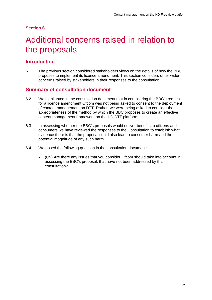# <span id="page-27-0"></span>Additional concerns raised in relation to the proposals

## **Introduction**

6.1 The previous section considered stakeholders views on the details of how the BBC proposes to implement its licence amendment. This section considers other wider concerns raised by stakeholders in their responses to the consultation.

## **Summary of consultation document**

- 6.2 We highlighted in the consultation document that in considering the BBC's request for a licence amendment Ofcom was not being asked to consent to the deployment of content management on DTT. Rather, we were being asked to consider the appropriateness of the method by which the BBC proposes to create an effective content management framework on the HD DTT platform.
- 6.3 In assessing whether the BBC's proposals would deliver benefits to citizens and consumers we have reviewed the responses to the Consultation to establish what evidence there is that the proposal could also lead to consumer harm and the potential magnitude of any such harm.
- 6.4 We posed the following question in the consultation document:
	- (Q9) Are there any issues that you consider Ofcom should take into account in assessing the BBC's proposal, that have not been addressed by this consultation?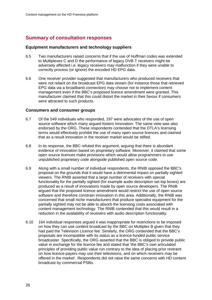# **Summary of consultation responses**

#### **Equipment manufacturers and technology suppliers**

- 6.5 Two manufacturers raised concerns that if the use of Huffman codes was extended to Multiplexes C and D the performance of legacy DVB-T receivers might be adversely affected i.e. legacy receivers may malfunction if they were unable to correctly process (or ignore) the encoded HD EPG data.
- 6.6 One receiver provider suggested that manufacturers who produced receivers that were not reliant on the broadcast EPG data stream (for instance those that retrieved EPG data via a broadband connection) may choose not to implement content management even if the BBC's proposed licence amendment were granted. This manufacturer claimed that this could distort the market in their favour if consumers were attracted to such products.

#### **Consumers and consumer groups**

- 6.7 Of the 549 individuals who responded, 197 were advocates of the use of open source software which many argued fosters innovation. The same view was also endorsed by the ORG. These respondents contended that the DTLA's licensing terms would effectively prohibit the use of many open source licences and claimed that as a result innovation in the receiver market would be stifled.
- 6.8 In its response, the BBC refuted this argument, arguing that there is abundant evidence of innovation based on proprietary software. Moreover, it claimed that some open source licences make provisions which would allow programmers to use unpublished proprietary code alongside published open source code.
- 6.9 Along with a small number of individual respondents, the RNIB opposed the BBC's proposal on the grounds that it would have a detrimental impact on partially sighted viewers. The RNIB asserted that a large number of receivers with special functionality for the partially sighted (for example audio description set top boxes) are produced as a result of innovations made by open source developers. The RNIB argued that the proposed licence amendment would restrict the use of open source software and therefore constrain innovation in this area. Additionally, the RNIB was concerned that small niche manufacturers that produce specialist equipment for the partially sighted may not be able to absorb the licensing costs associated with content management technology. The RNIB contended that this would result in a reduction in the availability of receivers with audio description functionality.
- 6.10 164 individual responses argued it was inappropriate for restrictions to be imposed on how they can use content broadcast by the BBC on Multiplex B given that they had paid the Television Licence fee. Similarly, the ORG contended that the BBC's proposals are incompatible with its status as a licence-funded public service broadcaster. Specifically, the ORG asserted that the BBC is obliged to provide public value in exchange for the licence fee and stated that 'the BBC's own articulated principles of providing public value run contrary to the idea of placing prior restraint on how licence-payers may use their televisions, and on which receivers may be offered in the market'. Respondents did not raise the same concerns with HD content broadcast by commercial PSBs.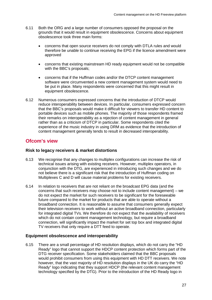- 6.11 Both the ORG and a large number of consumers opposed the proposal on the grounds that it would result in equipment obsolescence. Concerns about equipment obsolescence took three main forms:
	- concerns that open source receivers do not comply with DTLA rules and would therefore be unable to continue receiving the EPG if the licence amendment were approved
	- concerns that existing mainstream HD ready equipment would not be compatible with the BBC's proposals;
	- concerns that if the Huffman codes and/or the DTCP content management software were circumvented a new content management system would need to be put in place. Many respondents were concerned that this might result in equipment obsolescence.
- 6.12 Numerous consumers expressed concerns that the introduction of DTCP would reduce interoperability between devices. In particular, consumers expressed concern that the BBC's proposals would make it difficult for viewers to transfer HD content to portable devices such as mobile phones. The majority of those respondents framed their remarks on interoperability as a rejection of content management in general rather than as a criticism of DTCP in particular. Some respondents cited the experience of the music industry in using DRM as evidence that the introduction of content management generally tends to result in decreased interoperability.

## **Ofcom's view**

#### **Risk to legacy receivers & market distortions**

- 6.13 We recognise that any changes to multiplex configurations can increase the risk of technical issues arising with existing receivers. However, multiplex operators, in conjunction with the DTG, are experienced in introducing such changes and we do not believe there is a significant risk that the introduction of Huffman coding on Multiplexes C and D will cause material problems for existing receivers.
- 6.14 In relation to receivers that are not reliant on the broadcast EPG data (and the concerns that such receivers may choose not to include content management) – we do not expect the market for such receivers to be significant for the foreseeable future compared to the market for products that are able to operate without a broadband connection. It is reasonable to assume that consumers generally expect their television receivers to work without an active broadband connection, particularly for integrated digital TVs. We therefore do not expect that the availability of receivers which do not contain content management technology, but require a broadband connection, will significantly impact the market for set top box and integrated digital TV receivers that only require a DTT feed to operate.

### **Equipment obsolescence and interoperability**

6.15 There are a small percentage of HD resolution displays, which do not carry the "HD Ready" logo that cannot support the HDCP content protection which forms part of the DTG receiver specification. Some stakeholders claimed that the BBC proposals would prohibit consumers from using this equipment with HD DTT receivers. We note however, that the vast majority of HD resolution displays in the UK do carry the "HD Ready" logo indicating that they support HDCP (the relevant content management technology specified by the DTG). Prior to the introduction of the HD Ready logo in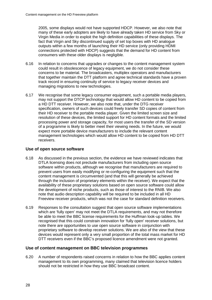2005, some displays would not have supported HDCP. However, we also note that many of these early adopters are likely to have already taken HD service from Sky or Virgin Media in order to exploit the high definition capabilities of these displays. The fact that Virgin and Sky discontinued supply of set top boxes with HD analogue outputs within a few months of launching their HD service (only providing HDMI connections protected with HDCP) suggests that the demand for HD content from consumers with these older displays is negligible.

- 6.16 In relation to concerns that upgrades or changes to the content management system could result in obsolescence of legacy equipment, we do not consider these concerns to be material. The broadcasters, multiplex operators and manufacturers that together maintain the DTT platform and agree technical standards have a proven track record in ensuring continuity of service to legacy receiver devices and managing migrations to new technologies.
- 6.17 We recognise that some legacy consumer equipment, such a portable media players, may not support the DTCP technology that would allow HD content to be copied from a HD DTT receiver. However, we also note that, under the DTG receiver specification, owners of such devices could freely transfer SD copies of content from their HD receiver to the portable media player. Given the limited screen size and resolution of these devices, the limited support for HD content formats and the limited processing power and storage capacity, for most users the transfer of the SD version of a programme is likely to better meet their viewing needs. In the future, we would expect more portable device manufacturers to include the relevant content management technologies which would allow HD content to be copied from HD DTT receivers.

### **Use of open source software**

- 6.18 As discussed in the previous section, the evidence we have reviewed indicates that DTLA licensing does not preclude manufacturers from including open source software within products, although we recognise that manufacturers are required to prevent users from easily modifying or re-configuring the equipment such that the content management is circumvented (and that this will generally be achieved through the inclusion of proprietary elements within the receiver). We expect that the availability of these proprietary solutions based on open source software could allow the development of niche products, such as those of interest to the RNIB. We also note that audio description capability will be required to be included in all HD Freeview receiver products, which was not the case for standard definition receivers.
- 6.19 Responses to the consultation suggest that open source software implementations which are 'fully open' may not meet the DTLA requirements, and may not therefore be able to meet the BBC license requirements for the Huffman look-up tables. We recognised that this could constrain innovation for 'fully open' receiver solutions, but note there are opportunities to use open source software in conjunction with proprietary software to develop receiver solutions. We are also of the view that these devices would represent only a very small proportion of the total mass market for HD DTT receivers even if the BBC's proposed licence amendment were not granted.

### **Use of content management on BBC television programmes**

6.20 A number of respondents raised concerns in relation to how the BBC applies content management to its own programming, many claimed that television licence holders should not be restricted in how they use BBC broadcast content.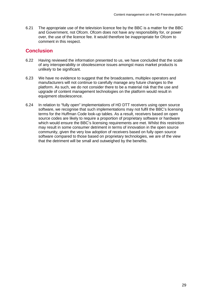6.21 The appropriate use of the television licence fee by the BBC is a matter for the BBC and Government, not Ofcom. Ofcom does not have any responsibility for, or power over, the use of the licence fee. It would therefore be inappropriate for Ofcom to comment in this respect.

## **Conclusion**

- 6.22 Having reviewed the information presented to us, we have concluded that the scale of any interoperability or obsolescence issues amongst mass market products is unlikely to be significant.
- 6.23 We have no evidence to suggest that the broadcasters, multiplex operators and manufacturers will not continue to carefully manage any future changes to the platform. As such, we do not consider there to be a material risk that the use and upgrade of content management technologies on the platform would result in equipment obsolescence.
- 6.24 In relation to "fully open" implementations of HD DTT receivers using open source software, we recognise that such implementations may not fulfil the BBC's licensing terms for the Huffman Code look-up tables. As a result, receivers based on open source codes are likely to require a proportion of proprietary software or hardware which would ensure the BBC's licensing requirements are met. Whilst this restriction may result in some consumer detriment in terms of innovation in the open source community, given the very low adoption of receivers based on fully open source software compared to those based on proprietary technologies, we are of the view that the detriment will be small and outweighed by the benefits.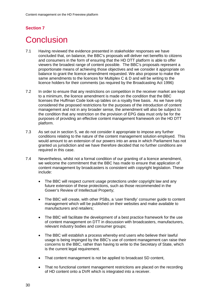# <span id="page-32-0"></span>**Conclusion**

- 7.1 Having reviewed the evidence presented in stakeholder responses we have concluded that, on balance, the BBC's proposals will deliver net benefits to citizens and consumers in the form of ensuring that the HD DTT platform is able to offer viewers the broadest range of content possible. The BBC's proposals represent a proportionate means of achieving those objectives and we consider it appropriate on balance to grant the licence amendment requested. We also propose to make the same amendments to the licences for Multiplex C & D and will be writing to the licence holders for their comments (as required by the Broadcasting Act 1996)
- 7.2 In order to ensure that any restrictions on competition in the receiver market are kept to a minimum, the licence amendment is made on the condition that the BBC licenses the Huffman Code look-up tables on a royalty free basis. As we have only considered the proposed restrictions for the purposes of the introduction of content management and not in any broader sense, the amendment will also be subject to the condition that any restriction on the provision of EPG data must only be for the purposes of providing an effective content management framework on the HD DTT platform.
- 7.3 As set out in section 5, we do not consider it appropriate to impose any further conditions relating to the nature of the content management solution employed. This would amount to an extension of our powers into an area in which Parliament has not granted us jurisdiction and we have therefore decided that no further conditions are required in this case.
- 7.4 Nevertheless, whilst not a formal condition of our granting of a licence amendment, we welcome the commitment that the BBC has made to ensure that application of content management by broadcasters is consistent with copyright legislation. These include:
	- The BBC will respect current usage protections under copyright law and any future extension of these protections, such as those recommended in the Gower's Review of Intellectual Property;
	- The BBC will create, with other PSBs, a 'user friendly' consumer guide to content management which will be published on their websites and make available to manufacturers and retailers;
	- The BBC will facilitate the development of a best practice framework for the use of content management on DTT in discussion with broadcasters, manufacturers, relevant industry bodies and consumer groups;
	- The BBC will establish a process whereby end users who believe their lawful usage is being impinged by the BBC's use of content management can raise their concerns to the BBC, rather than having to write to the Secretary of State, which is the current legal requirement.
	- That content management is not be applied to broadcast SD content,
	- That no functional content management restrictions are placed on the recording of HD content onto a DVR which is integrated into a receiver.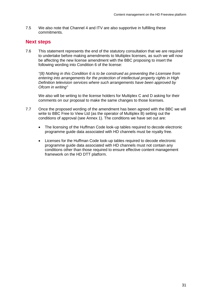7.5 We also note that Channel 4 and ITV are also supportive in fulfilling these commitments.

## **Next steps**

7.6 This statement represents the end of the statutory consultation that we are required to undertake before making amendments to Multiplex licenses, as such we will now be affecting the new license amendment with the BBC proposing to insert the following wording into Condition 6 of the license:

*"(8) Nothing in this Condition 6 is to be construed as preventing the Licensee from entering into arrangements for the protection of intellectual property rights in High Definition television services where such arrangements have been approved by Ofcom in writing"*

We also will be writing to the license holders for Multiplex C and D asking for their comments on our proposal to make the same changes to those licenses.

- 7.7 Once the proposed wording of the amendment has been agreed with the BBC we will write to BBC Free to View Ltd (as the operator of Multiplex B) setting out the conditions of approval (see Annex 1). The conditions we have set out are:
	- The licensing of the Huffman Code look-up tables required to decode electronic programme guide data associated with HD channels must be royalty free.
	- Licenses for the Huffman Code look-up tables required to decode electronic programme guide data associated with HD channels must not contain any conditions other than those required to ensure effective content management framework on the HD DTT platform.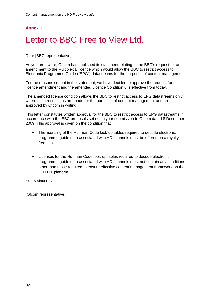## **Annex 1**

# <span id="page-34-0"></span>Letter to BBC Free to View Ltd.

Dear [BBC representative],

As you are aware, Ofcom has published its statement relating to the BBC's request for an amendment to the Multiplex B licence which would allow the BBC to restrict access to Electronic Programme Guide ("EPG") datastreams for the purposes of content management.

For the reasons set out in the statement, we have decided to approve the request for a licence amendment and the amended Licence Condition 6 is effective from today.

The amended licence condition allows the BBC to restrict access to EPG datastreams only where such restrictions are made for the purposes of content management and are approved by Ofcom in writing.

This letter constitutes written approval for the BBC to restrict access to EPG datastreams in accordance with the BBC proposals set out in your submission to Ofcom dated 8 December 2009. This approval is given on the condition that:

- The licensing of the Huffman Code look-up tables required to decode electronic programme guide data associated with HD channels must be offered on a royalty free basis.
- Licenses for the Huffman Code look-up tables required to decode electronic programme guide data associated with HD channels must not contain any conditions other than those required to ensure effective content management framework on the HD DTT platform.

Yours sincerely

[Ofcom representative]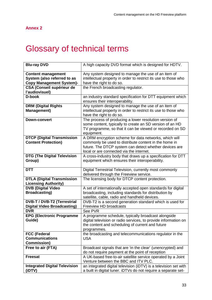### **Annex 2**

# <span id="page-35-0"></span>**2** Glossary of technical terms

| <b>Blu-ray DVD</b>                             | A high capacity DVD format which is designed for HDTV.                                                                             |
|------------------------------------------------|------------------------------------------------------------------------------------------------------------------------------------|
| <b>Content management</b>                      | Any system designed to manage the use of an item of                                                                                |
| System (also referred to as                    | intellectual property in order to restrict its use to those who                                                                    |
| <b>Copy Management System)-</b>                | have the right to do so.                                                                                                           |
| <b>CSA (Conseil supérieur de</b>               | the French broadcasting regulator.                                                                                                 |
| l'audiovisuel)                                 |                                                                                                                                    |
| D-book                                         | an industry standard specification for DTT equipment which                                                                         |
|                                                | ensures their interoperability.                                                                                                    |
| <b>DRM (Digital Rights</b>                     | Any system designed to manage the use of an item of                                                                                |
| <b>Management)</b>                             | intellectual property in order to restrict its use to those who                                                                    |
|                                                | have the right to do so.                                                                                                           |
|                                                |                                                                                                                                    |
| <b>Down-convert</b>                            | The process of producing a lower resolution version of                                                                             |
|                                                | some content, typically to create an SD version of an HD                                                                           |
|                                                | TV programme, so that it can be viewed or recorded on SD                                                                           |
|                                                | equipment.                                                                                                                         |
| <b>DTCP (Digital Transmission</b>              | A DRM encryption scheme for data networks, which will                                                                              |
| <b>Content Protection)</b>                     | commonly be used to distribute content in the home in                                                                              |
|                                                | future. The DTCP system can detect whether devices are                                                                             |
|                                                | local or are connected via the internet.                                                                                           |
| <b>DTG (The Digital Television</b>             | A cross-industry body that draws up a specification for DTT                                                                        |
| Group)                                         | equipment which ensures their interoperability.                                                                                    |
|                                                |                                                                                                                                    |
|                                                |                                                                                                                                    |
| <b>DTT</b>                                     | Digital Terrestrial Television, currently most commonly                                                                            |
|                                                | delivered through the Freeview service.                                                                                            |
| <b>DTLA (Digital Transmission</b>              | The licensing body for DTCP content protection.                                                                                    |
| <b>Licensing Authority)</b>                    |                                                                                                                                    |
| <b>DVB (Digital Video</b>                      | A set of internationally accepted open standards for digital                                                                       |
| <b>Broadcasting</b> )                          | broadcasting, including standards for distribution by                                                                              |
|                                                | satellite, cable, radio and handheld devices.                                                                                      |
| <b>DVB-T / DVB-T2 (Terrestrial</b>             |                                                                                                                                    |
| <b>Digital Video Broadcasting)</b>             | DVB-T2 is a second generation standard which is used for<br>Freeview HD broadcasts                                                 |
| <b>DVR</b>                                     | See PVR                                                                                                                            |
|                                                |                                                                                                                                    |
| <b>EPG (Electronic Programme</b>               | A programme schedule, typically broadcast alongside                                                                                |
| Guide)                                         | digital television or radio services, to provide information on                                                                    |
|                                                | the content and scheduling of current and future                                                                                   |
|                                                | programmes.                                                                                                                        |
| <b>FCC (Federal</b>                            | the broadcasting and telecommunications regulator in the                                                                           |
| <b>Communications</b>                          | <b>USA</b>                                                                                                                         |
| <b>Commission)</b>                             |                                                                                                                                    |
| Free to air (FTA)                              | Broadcast signals that are 'in the clear' (unencrypted) and                                                                        |
|                                                | do not require payment at the point of reception                                                                                   |
| <b>Freesat</b>                                 | A UK-based free-to-air satellite service operated by a Joint                                                                       |
|                                                | Venture between the BBC and ITV PLC.                                                                                               |
| <b>Integrated Digital Television</b><br>(iDTV) | an integrated digital television (iDTV) is a television set with<br>a built in digital tuner. iDTVs do not require a separate set- |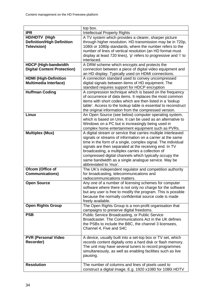|                                    | top box.                                                          |
|------------------------------------|-------------------------------------------------------------------|
| <b>IPR</b>                         | <b>Intellectual Property Rights</b>                               |
| HD/HDTV (High                      | A TV system which provides a clearer, sharper picture             |
| <b>Definition/High Definition</b>  | through higher resolution. HD transmission may be in 720p,        |
| Television)                        | 1080i or 1080p standards, where the number refers to the          |
|                                    | number of lines of vertical resolution (an HD format must         |
|                                    | display at least 720 lines), 'p' refers to progressive and 'i' to |
|                                    | interlaced.                                                       |
| <b>HDCP (High-bandwidth</b>        | A DRM scheme which encrypts and protects the                      |
| <b>Digital Content Protection)</b> | connection between a piece of digital video equipment and         |
|                                    | an HD display. Typically used on HDMI connections.                |
| <b>HDMI (High-Definition</b>       | A connection standard used to convey uncompressed                 |
| <b>Multimedia Interface)</b>       | digital signals between items of HD equipment. The                |
|                                    | standard requires support for HDCP encryption                     |
| <b>Huffman Coding</b>              | A compression technique which is based on the frequency           |
|                                    | of occurrence of data items. It replaces the most common          |
|                                    | items with short codes which are then listed in a 'lookup         |
|                                    | table'. Access to the lookup table is essential to reconstruct    |
|                                    | the original information from the compressed version.             |
| <b>Linux</b>                       | An Open Source (see below) computer operating system,             |
|                                    | which is based on Unix. It can be used as an alternative to       |
|                                    | Windows on a PC but is increasingly being used in                 |
|                                    | complex home entertainment equipment such as PVRs.                |
| <b>Multiplex (Mux)</b>             | A digital stream or service that carries multiple interleaved     |
|                                    | signals or streams of information on a carrier at the same        |
|                                    | time in the form of a single, complex signal. The individual      |
|                                    | signals are then separated at the receiving end. In TV            |
|                                    | broadcasting, a multiplex carries a collection of                 |
|                                    | compressed digital channels which typically occupy the            |
|                                    | same bandwidth as a single analogue service. May be               |
|                                    | abbreviated to 'mux'.                                             |
| Ofcom (Office of                   | The UK's independent regulator and competition authority          |
| <b>Communications)</b>             | for broadcasting, telecommunications and                          |
|                                    | radiocommunications matters.                                      |
| <b>Open Source</b>                 | Any one of a number of licensing schemes for computer             |
|                                    | software where there is not only no charge for the software       |
|                                    | but any user is free to modify the program. This is possible      |
|                                    | because the normally confidential source code is made             |
|                                    | freely available.                                                 |
| <b>Open Rights Group</b>           | The Open Rights Group is a non-profit organisation that           |
|                                    | campaigns to preserve digital freedoms.                           |
| <b>PSB</b>                         | Public Service Broadcasting, or Public Service                    |
|                                    | Broadcaster. The Communications Act in the UK defines             |
|                                    | the PSBs to include the BBC, the channel 3 licensees,             |
|                                    | Channel 4, Five and S4C                                           |
|                                    |                                                                   |
| <b>PVR (Personal Video</b>         | A device, usually built into a set-top box or TV set, which       |
| Recorder)                          | records content digitally onto a hard disk or flash memory.       |
|                                    | The unit may have several tuners to record programmes             |
|                                    | simultaneously, as well as enabling facilities such as live       |
|                                    | pausing.                                                          |
|                                    |                                                                   |
| <b>Resolution</b>                  | The number of columns and lines of pixels used to                 |
|                                    | construct a digital image. E.g. 1920 x1080 for 1080i HDTV         |